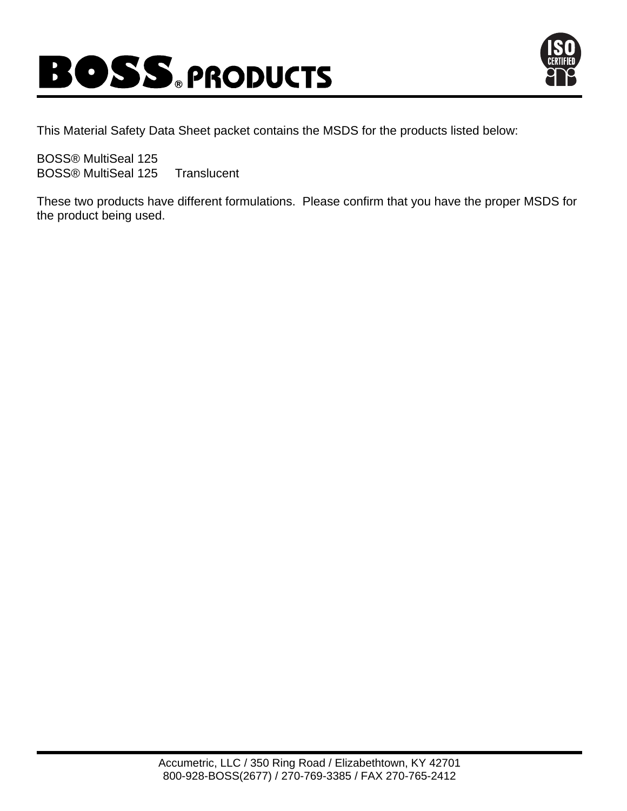



This Material Safety Data Sheet packet contains the MSDS for the products listed below:

BOSS® MultiSeal 125 BOSS® MultiSeal 125 Translucent

These two products have different formulations. Please confirm that you have the proper MSDS for the product being used.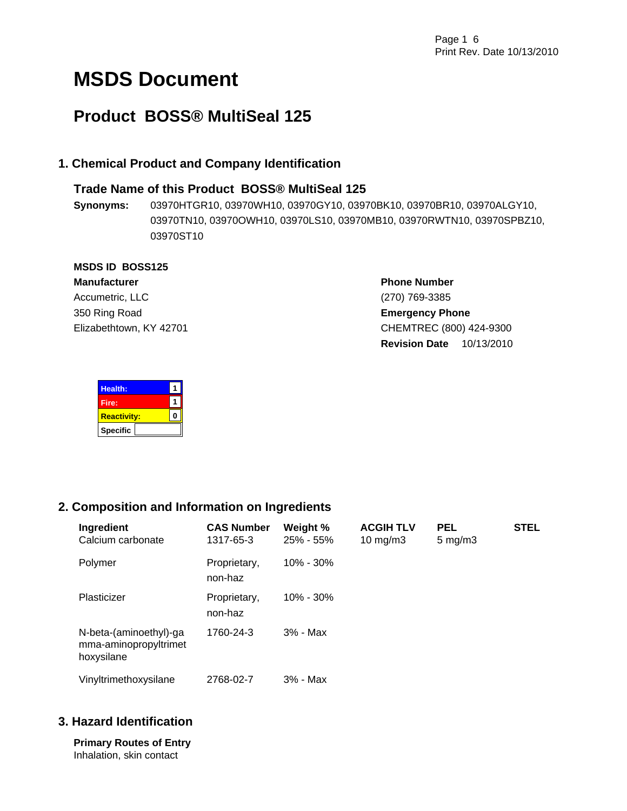# **MSDS Document**

# **Product BOSS® MultiSeal 125**

# **1. Chemical Product and Company Identification**

# **Trade Name of this Product BOSS® MultiSeal 125**

**Synonyms:** 03970HTGR10, 03970WH10, 03970GY10, 03970BK10, 03970BR10, 03970ALGY10, 03970TN10, 03970OWH10, 03970LS10, 03970MB10, 03970RWTN10, 03970SPBZ10, 03970ST10

# **MSDS ID BOSS125**

**Manufacturer** Accumetric, LLC 350 Ring Road Elizabethtown, KY 42701 **Phone Number** (270) 769-3385 **Emergency Phone** CHEMTREC (800) 424-9300 **Revision Date** 10/13/2010

| <b>Health:</b>     |  |
|--------------------|--|
| Fire:              |  |
| <b>Reactivity:</b> |  |
| <b>Specific</b>    |  |

# **2. Composition and Information on Ingredients**

| Ingredient<br>Calcium carbonate                               | <b>CAS Number</b><br>1317-65-3 | Weight %<br>$25\% - 55\%$ | <b>ACGIH TLV</b><br>10 mg/m $3$ | <b>PEL</b><br>$5 \text{ mg/m}$ | <b>STEL</b> |
|---------------------------------------------------------------|--------------------------------|---------------------------|---------------------------------|--------------------------------|-------------|
| Polymer                                                       | Proprietary,<br>non-haz        | $10\% - 30\%$             |                                 |                                |             |
| Plasticizer                                                   | Proprietary,<br>non-haz        | $10\% - 30\%$             |                                 |                                |             |
| N-beta-(aminoethyl)-ga<br>mma-aminopropyltrimet<br>hoxysilane | 1760-24-3                      | 3% - Max                  |                                 |                                |             |
| Vinyltrimethoxysilane                                         | 2768-02-7                      | 3% - Max                  |                                 |                                |             |

# **3. Hazard Identification**

**Primary Routes of Entry**  Inhalation, skin contact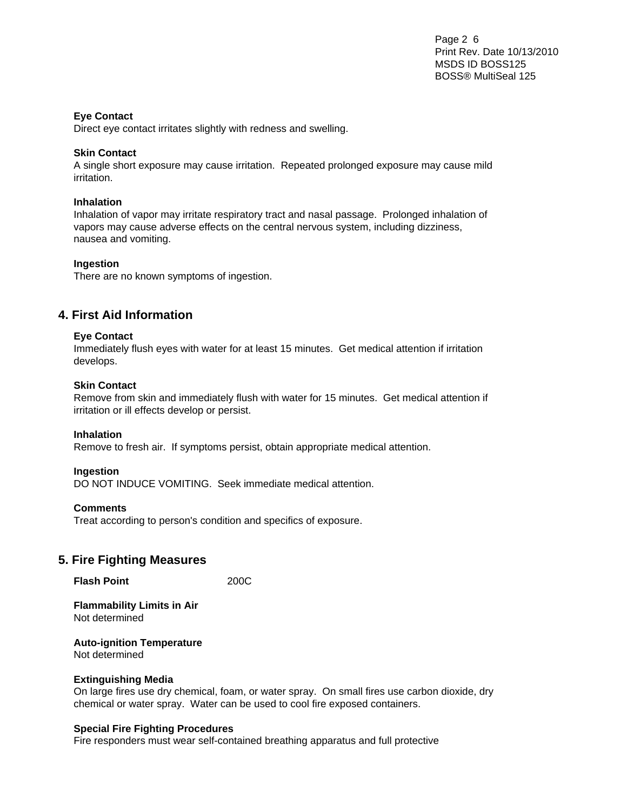Page 2 6 Print Rev. Date 10/13/2010 MSDS ID BOSS125 BOSS® MultiSeal 125

### **Eye Contact**

Direct eye contact irritates slightly with redness and swelling.

### **Skin Contact**

A single short exposure may cause irritation. Repeated prolonged exposure may cause mild irritation.

### **Inhalation**

Inhalation of vapor may irritate respiratory tract and nasal passage. Prolonged inhalation of vapors may cause adverse effects on the central nervous system, including dizziness, nausea and vomiting.

### **Ingestion**

There are no known symptoms of ingestion.

# **4. First Aid Information**

### **Eye Contact**

Immediately flush eyes with water for at least 15 minutes. Get medical attention if irritation develops.

### **Skin Contact**

Remove from skin and immediately flush with water for 15 minutes. Get medical attention if irritation or ill effects develop or persist.

### **Inhalation**

Remove to fresh air. If symptoms persist, obtain appropriate medical attention.

### **Ingestion**

DO NOT INDUCE VOMITING. Seek immediate medical attention.

### **Comments**

Treat according to person's condition and specifics of exposure.

# **5. Fire Fighting Measures**

**Flash Point** 200C

**Flammability Limits in Air**  Not determined

**Auto-ignition Temperature** 

Not determined

### **Extinguishing Media**

On large fires use dry chemical, foam, or water spray. On small fires use carbon dioxide, dry chemical or water spray. Water can be used to cool fire exposed containers.

### **Special Fire Fighting Procedures**

Fire responders must wear self-contained breathing apparatus and full protective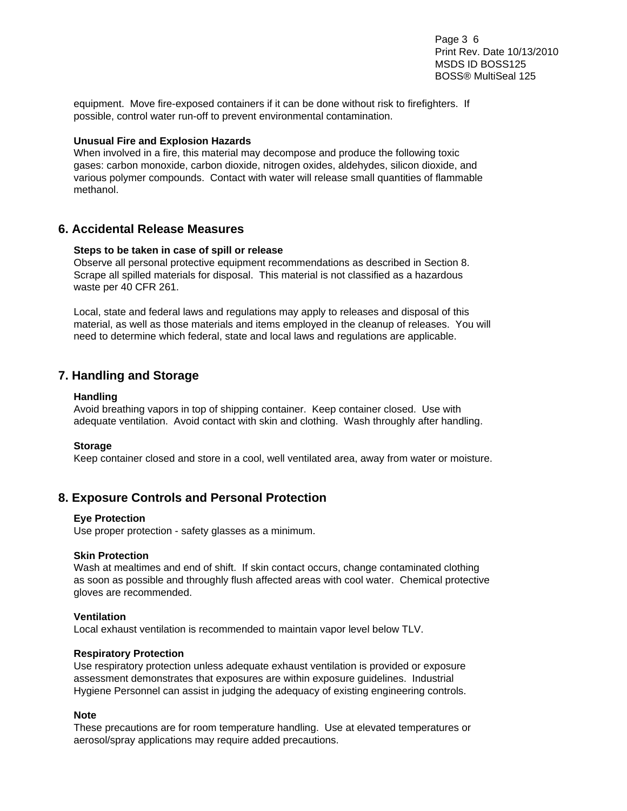Page 3 6 Print Rev. Date 10/13/2010 MSDS ID BOSS125 BOSS® MultiSeal 125

equipment. Move fire-exposed containers if it can be done without risk to firefighters. If possible, control water run-off to prevent environmental contamination.

### **Unusual Fire and Explosion Hazards**

When involved in a fire, this material may decompose and produce the following toxic gases: carbon monoxide, carbon dioxide, nitrogen oxides, aldehydes, silicon dioxide, and various polymer compounds. Contact with water will release small quantities of flammable methanol.

# **6. Accidental Release Measures**

### **Steps to be taken in case of spill or release**

Observe all personal protective equipment recommendations as described in Section 8. Scrape all spilled materials for disposal. This material is not classified as a hazardous waste per 40 CFR 261.

Local, state and federal laws and regulations may apply to releases and disposal of this material, as well as those materials and items employed in the cleanup of releases. You will need to determine which federal, state and local laws and regulations are applicable.

# **7. Handling and Storage**

### **Handling**

Avoid breathing vapors in top of shipping container. Keep container closed. Use with adequate ventilation. Avoid contact with skin and clothing. Wash throughly after handling.

### **Storage**

Keep container closed and store in a cool, well ventilated area, away from water or moisture.

# **8. Exposure Controls and Personal Protection**

### **Eye Protection**

Use proper protection - safety glasses as a minimum.

### **Skin Protection**

Wash at mealtimes and end of shift. If skin contact occurs, change contaminated clothing as soon as possible and throughly flush affected areas with cool water. Chemical protective gloves are recommended.

### **Ventilation**

Local exhaust ventilation is recommended to maintain vapor level below TLV.

### **Respiratory Protection**

Use respiratory protection unless adequate exhaust ventilation is provided or exposure assessment demonstrates that exposures are within exposure guidelines. Industrial Hygiene Personnel can assist in judging the adequacy of existing engineering controls.

### **Note**

These precautions are for room temperature handling. Use at elevated temperatures or aerosol/spray applications may require added precautions.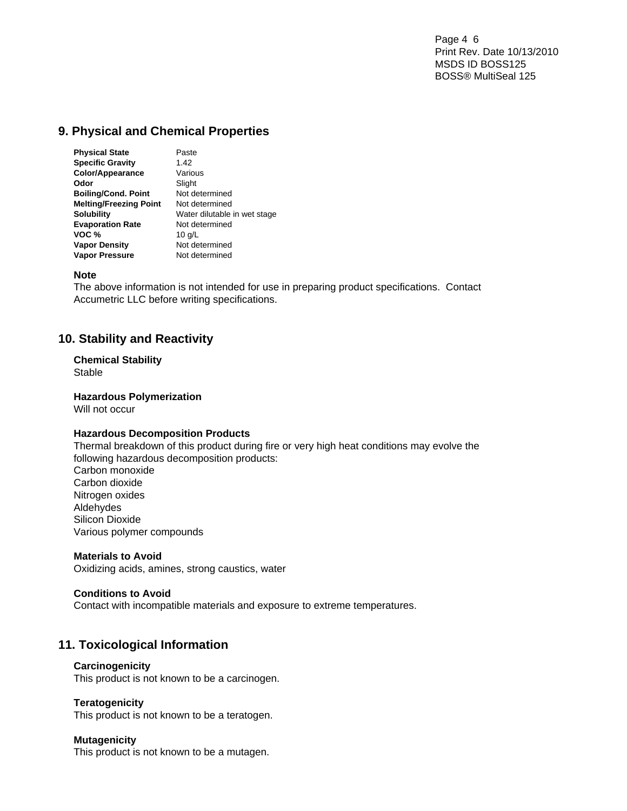Page 4 6 Print Rev. Date 10/13/2010 MSDS ID BOSS125 BOSS® MultiSeal 125

# **9. Physical and Chemical Properties**

| <b>Physical State</b>         | Paste                        |
|-------------------------------|------------------------------|
| <b>Specific Gravity</b>       | 1.42                         |
| <b>Color/Appearance</b>       | Various                      |
| Odor                          | Slight                       |
| <b>Boiling/Cond. Point</b>    | Not determined               |
| <b>Melting/Freezing Point</b> | Not determined               |
| <b>Solubility</b>             | Water dilutable in wet stage |
| <b>Evaporation Rate</b>       | Not determined               |
| VOC %                         | 10 $q/L$                     |
| <b>Vapor Density</b>          | Not determined               |
| <b>Vapor Pressure</b>         | Not determined               |

### **Note**

The above information is not intended for use in preparing product specifications. Contact Accumetric LLC before writing specifications.

# **10. Stability and Reactivity**

# **Chemical Stability**

Stable

### **Hazardous Polymerization**

Will not occur

### **Hazardous Decomposition Products**

Thermal breakdown of this product during fire or very high heat conditions may evolve the following hazardous decomposition products: Carbon monoxide Carbon dioxide Nitrogen oxides Aldehydes Silicon Dioxide Various polymer compounds

### **Materials to Avoid**

Oxidizing acids, amines, strong caustics, water

### **Conditions to Avoid**

Contact with incompatible materials and exposure to extreme temperatures.

# **11. Toxicological Information**

### **Carcinogenicity**

This product is not known to be a carcinogen.

### **Teratogenicity**

This product is not known to be a teratogen.

### **Mutagenicity**

This product is not known to be a mutagen.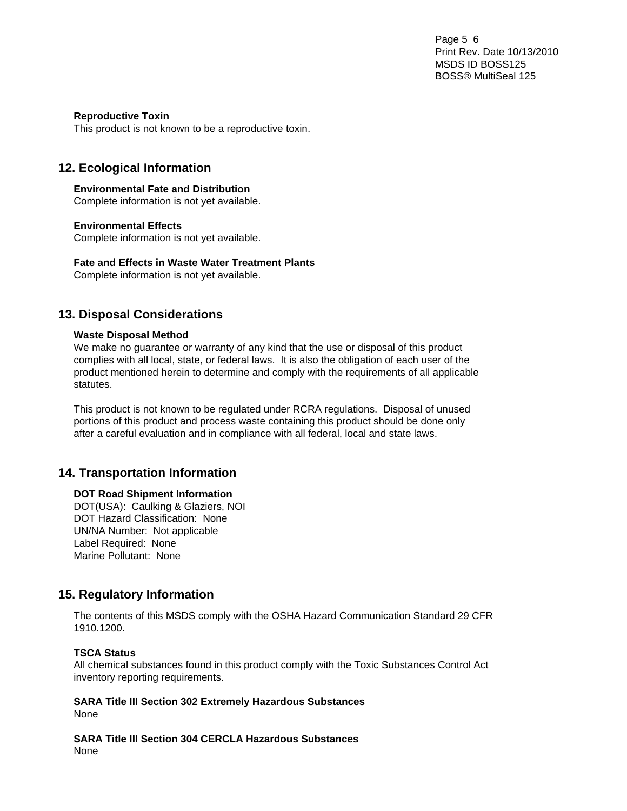Page 5 6 Print Rev. Date 10/13/2010 MSDS ID BOSS125 BOSS® MultiSeal 125

### **Reproductive Toxin**

This product is not known to be a reproductive toxin.

# **12. Ecological Information**

**Environmental Fate and Distribution**  Complete information is not yet available.

# **Environmental Effects**

Complete information is not yet available.

**Fate and Effects in Waste Water Treatment Plants** 

Complete information is not yet available.

# **13. Disposal Considerations**

### **Waste Disposal Method**

We make no guarantee or warranty of any kind that the use or disposal of this product complies with all local, state, or federal laws. It is also the obligation of each user of the product mentioned herein to determine and comply with the requirements of all applicable statutes.

This product is not known to be regulated under RCRA regulations. Disposal of unused portions of this product and process waste containing this product should be done only after a careful evaluation and in compliance with all federal, local and state laws.

# **14. Transportation Information**

### **DOT Road Shipment Information**

DOT(USA): Caulking & Glaziers, NOI DOT Hazard Classification: None UN/NA Number: Not applicable Label Required: None Marine Pollutant: None

# **15. Regulatory Information**

The contents of this MSDS comply with the OSHA Hazard Communication Standard 29 CFR 1910.1200.

# **TSCA Status**

All chemical substances found in this product comply with the Toxic Substances Control Act inventory reporting requirements.

**SARA Title III Section 302 Extremely Hazardous Substances**  None

**SARA Title III Section 304 CERCLA Hazardous Substances**  None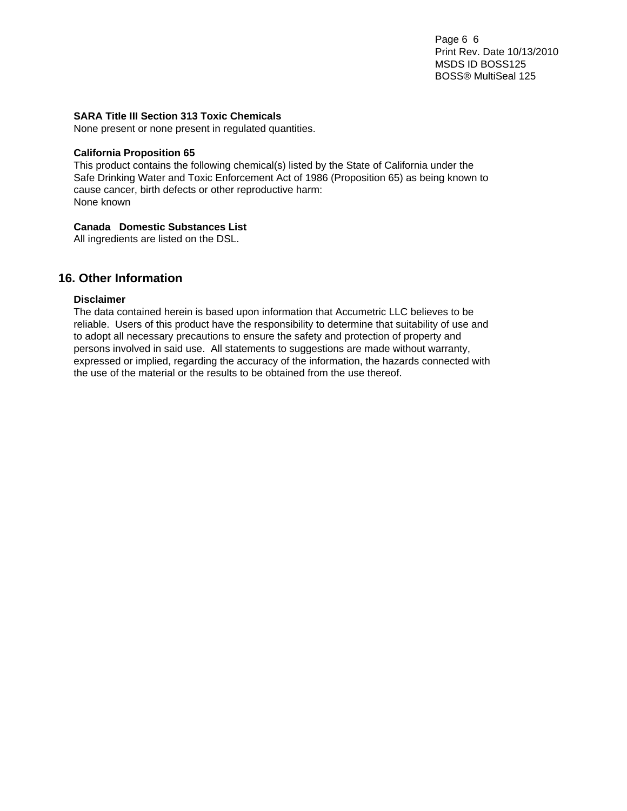Page 6 6 Print Rev. Date 10/13/2010 MSDS ID BOSS125 BOSS® MultiSeal 125

### **SARA Title III Section 313 Toxic Chemicals**

None present or none present in regulated quantities.

### **California Proposition 65**

This product contains the following chemical(s) listed by the State of California under the Safe Drinking Water and Toxic Enforcement Act of 1986 (Proposition 65) as being known to cause cancer, birth defects or other reproductive harm: None known

# **Canada Domestic Substances List**

All ingredients are listed on the DSL.

# **16. Other Information**

### **Disclaimer**

The data contained herein is based upon information that Accumetric LLC believes to be reliable. Users of this product have the responsibility to determine that suitability of use and to adopt all necessary precautions to ensure the safety and protection of property and persons involved in said use. All statements to suggestions are made without warranty, expressed or implied, regarding the accuracy of the information, the hazards connected with the use of the material or the results to be obtained from the use thereof.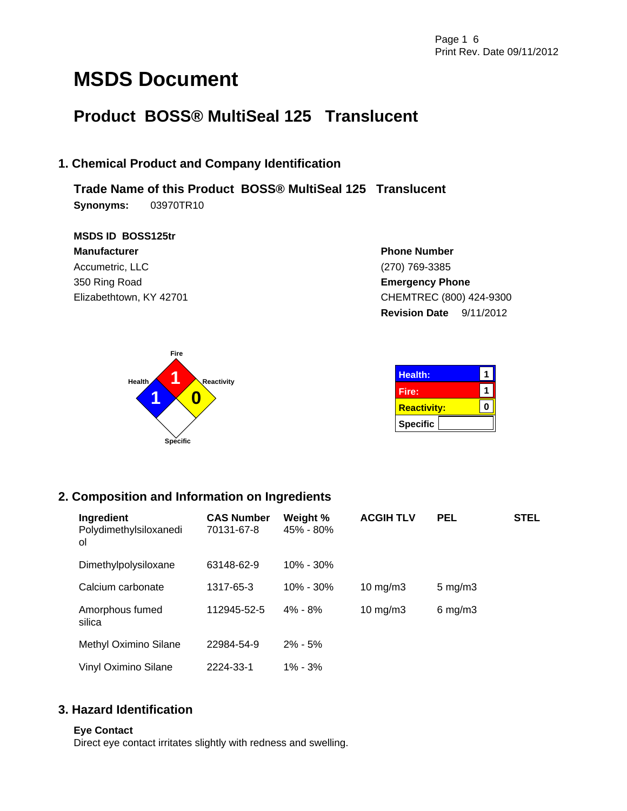# **MSDS Document**

# **Product BOSS® MultiSeal 125 Translucent**

# **1. Chemical Product and Company Identification**

**Trade Name of this Product BOSS® MultiSeal 125 Translucent Synonyms:** 03970TR10

**MSDS ID BOSS125tr Manufacturer** Accumetric, LLC 350 Ring Road Elizabethtown, KY 42701

**Phone Number** (270) 769-3385 **Emergency Phone** CHEMTREC (800) 424-9300 **Revision Date** 9/11/2012



| <b>Health:</b>     |  |
|--------------------|--|
| Fire:              |  |
| <b>Reactivity:</b> |  |
| <b>Specific</b>    |  |

# **2. Composition and Information on Ingredients**

| Ingredient<br>Polydimethylsiloxanedi<br>ol | <b>CAS Number</b><br>70131-67-8 | Weight %<br>45% - 80% | <b>ACGIH TLV</b> | <b>PEL</b>       | <b>STEL</b> |
|--------------------------------------------|---------------------------------|-----------------------|------------------|------------------|-------------|
| Dimethylpolysiloxane                       | 63148-62-9                      | $10\% - 30\%$         |                  |                  |             |
| Calcium carbonate                          | 1317-65-3                       | $10\% - 30\%$         | 10 $mg/m3$       | $5 \text{ mg/m}$ |             |
| Amorphous fumed<br>silica                  | 112945-52-5                     | $4\% - 8\%$           | 10 $mg/m3$       | $6$ mg/m $3$     |             |
| Methyl Oximino Silane                      | 22984-54-9                      | $2\% - 5\%$           |                  |                  |             |
| Vinyl Oximino Silane                       | 2224-33-1                       | $1\% - 3\%$           |                  |                  |             |

# **3. Hazard Identification**

# **Eye Contact**

Direct eye contact irritates slightly with redness and swelling.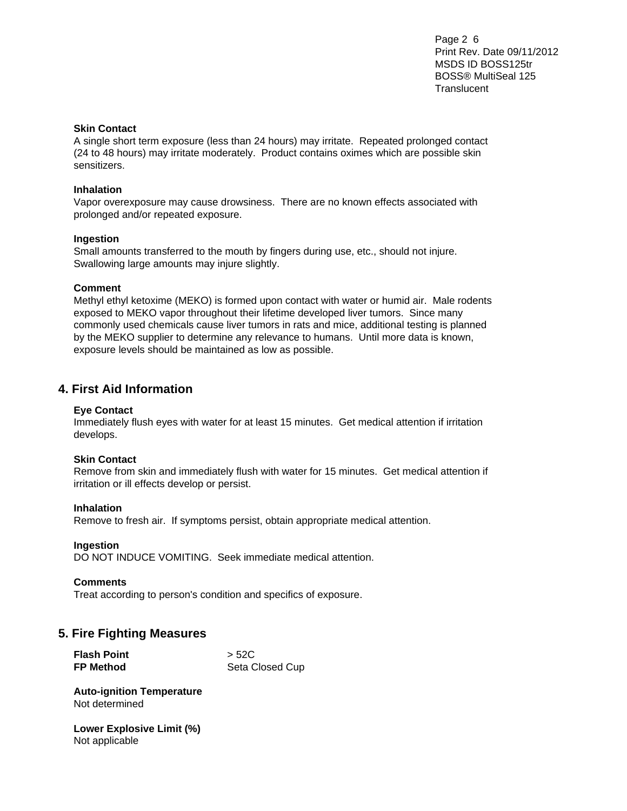Page 2 6 Print Rev. Date 09/11/2012 MSDS ID BOSS125tr BOSS® MultiSeal 125 **Translucent** 

### **Skin Contact**

A single short term exposure (less than 24 hours) may irritate. Repeated prolonged contact (24 to 48 hours) may irritate moderately. Product contains oximes which are possible skin sensitizers.

### **Inhalation**

Vapor overexposure may cause drowsiness. There are no known effects associated with prolonged and/or repeated exposure.

### **Ingestion**

Small amounts transferred to the mouth by fingers during use, etc., should not injure. Swallowing large amounts may injure slightly.

### **Comment**

Methyl ethyl ketoxime (MEKO) is formed upon contact with water or humid air. Male rodents exposed to MEKO vapor throughout their lifetime developed liver tumors. Since many commonly used chemicals cause liver tumors in rats and mice, additional testing is planned by the MEKO supplier to determine any relevance to humans. Until more data is known, exposure levels should be maintained as low as possible.

# **4. First Aid Information**

### **Eye Contact**

Immediately flush eyes with water for at least 15 minutes. Get medical attention if irritation develops.

### **Skin Contact**

Remove from skin and immediately flush with water for 15 minutes. Get medical attention if irritation or ill effects develop or persist.

### **Inhalation**

Remove to fresh air. If symptoms persist, obtain appropriate medical attention.

### **Ingestion**

DO NOT INDUCE VOMITING. Seek immediate medical attention.

### **Comments**

Treat according to person's condition and specifics of exposure.

### **5. Fire Fighting Measures**

| <b>Flash Point</b> | > 52C           |
|--------------------|-----------------|
| <b>FP Method</b>   | Seta Closed Cup |

**Auto-ignition Temperature**  Not determined

**Lower Explosive Limit (%)**  Not applicable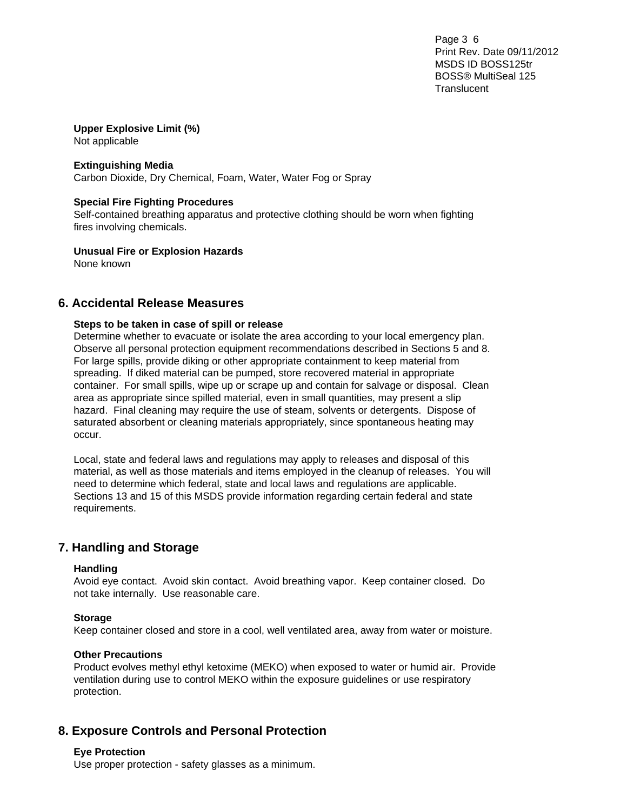Page 3 6 Print Rev. Date 09/11/2012 MSDS ID BOSS125tr BOSS® MultiSeal 125 **Translucent** 

### **Upper Explosive Limit (%)**  Not applicable

**Extinguishing Media** 

Carbon Dioxide, Dry Chemical, Foam, Water, Water Fog or Spray

### **Special Fire Fighting Procedures**

Self-contained breathing apparatus and protective clothing should be worn when fighting fires involving chemicals.

**Unusual Fire or Explosion Hazards** 

None known

# **6. Accidental Release Measures**

### **Steps to be taken in case of spill or release**

Determine whether to evacuate or isolate the area according to your local emergency plan. Observe all personal protection equipment recommendations described in Sections 5 and 8. For large spills, provide diking or other appropriate containment to keep material from spreading. If diked material can be pumped, store recovered material in appropriate container. For small spills, wipe up or scrape up and contain for salvage or disposal. Clean area as appropriate since spilled material, even in small quantities, may present a slip hazard. Final cleaning may require the use of steam, solvents or detergents. Dispose of saturated absorbent or cleaning materials appropriately, since spontaneous heating may occur.

Local, state and federal laws and regulations may apply to releases and disposal of this material, as well as those materials and items employed in the cleanup of releases. You will need to determine which federal, state and local laws and regulations are applicable. Sections 13 and 15 of this MSDS provide information regarding certain federal and state requirements.

# **7. Handling and Storage**

### **Handling**

Avoid eye contact. Avoid skin contact. Avoid breathing vapor. Keep container closed. Do not take internally. Use reasonable care.

### **Storage**

Keep container closed and store in a cool, well ventilated area, away from water or moisture.

### **Other Precautions**

Product evolves methyl ethyl ketoxime (MEKO) when exposed to water or humid air. Provide ventilation during use to control MEKO within the exposure guidelines or use respiratory protection.

# **8. Exposure Controls and Personal Protection**

### **Eye Protection**

Use proper protection - safety glasses as a minimum.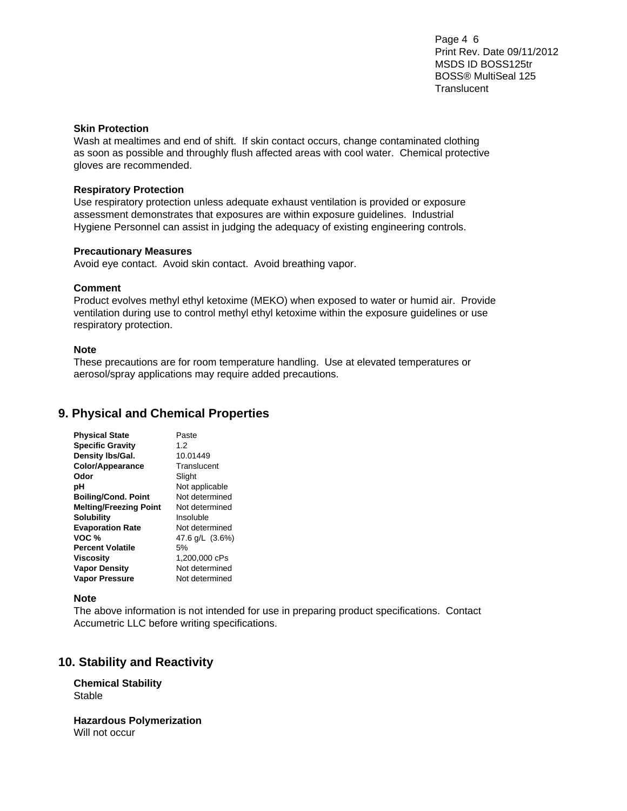Page 4 6 Print Rev. Date 09/11/2012 MSDS ID BOSS125tr BOSS® MultiSeal 125 **Translucent** 

### **Skin Protection**

Wash at mealtimes and end of shift. If skin contact occurs, change contaminated clothing as soon as possible and throughly flush affected areas with cool water. Chemical protective gloves are recommended.

### **Respiratory Protection**

Use respiratory protection unless adequate exhaust ventilation is provided or exposure assessment demonstrates that exposures are within exposure guidelines. Industrial Hygiene Personnel can assist in judging the adequacy of existing engineering controls.

#### **Precautionary Measures**

Avoid eye contact. Avoid skin contact. Avoid breathing vapor.

### **Comment**

Product evolves methyl ethyl ketoxime (MEKO) when exposed to water or humid air. Provide ventilation during use to control methyl ethyl ketoxime within the exposure guidelines or use respiratory protection.

#### **Note**

These precautions are for room temperature handling. Use at elevated temperatures or aerosol/spray applications may require added precautions.

# **9. Physical and Chemical Properties**

| <b>Physical State</b>         | Paste           |
|-------------------------------|-----------------|
| <b>Specific Gravity</b>       | 1.2             |
| Density Ibs/Gal.              | 10.01449        |
| Color/Appearance              | Translucent     |
| Odor                          | Slight          |
| рH                            | Not applicable  |
| <b>Boiling/Cond. Point</b>    | Not determined  |
| <b>Melting/Freezing Point</b> | Not determined  |
| <b>Solubility</b>             | Insoluble       |
| <b>Evaporation Rate</b>       | Not determined  |
| VOC %                         | 47.6 g/L (3.6%) |
| <b>Percent Volatile</b>       | 5%              |
| Viscosity                     | 1,200,000 cPs   |
| <b>Vapor Density</b>          | Not determined  |
| <b>Vapor Pressure</b>         | Not determined  |

### **Note**

The above information is not intended for use in preparing product specifications. Contact Accumetric LLC before writing specifications.

# **10. Stability and Reactivity**

**Chemical Stability**  Stable

**Hazardous Polymerization**  Will not occur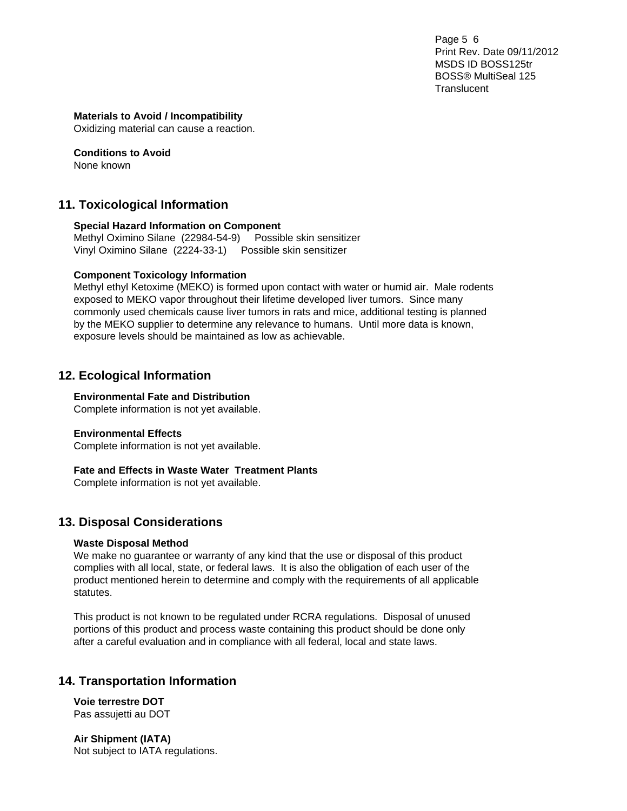Page 5 6 Print Rev. Date 09/11/2012 MSDS ID BOSS125tr BOSS® MultiSeal 125 **Translucent** 

### **Materials to Avoid / Incompatibility**

Oxidizing material can cause a reaction.

**Conditions to Avoid**  None known

# **11. Toxicological Information**

### **Special Hazard Information on Component**

Methyl Oximino Silane (22984-54-9) Possible skin sensitizer Vinyl Oximino Silane (2224-33-1) Possible skin sensitizer

### **Component Toxicology Information**

Methyl ethyl Ketoxime (MEKO) is formed upon contact with water or humid air. Male rodents exposed to MEKO vapor throughout their lifetime developed liver tumors. Since many commonly used chemicals cause liver tumors in rats and mice, additional testing is planned by the MEKO supplier to determine any relevance to humans. Until more data is known, exposure levels should be maintained as low as achievable.

# **12. Ecological Information**

### **Environmental Fate and Distribution**

Complete information is not yet available.

### **Environmental Effects**

Complete information is not yet available.

### **Fate and Effects in Waste Water Treatment Plants**

Complete information is not yet available.

# **13. Disposal Considerations**

### **Waste Disposal Method**

We make no guarantee or warranty of any kind that the use or disposal of this product complies with all local, state, or federal laws. It is also the obligation of each user of the product mentioned herein to determine and comply with the requirements of all applicable statutes.

This product is not known to be regulated under RCRA regulations. Disposal of unused portions of this product and process waste containing this product should be done only after a careful evaluation and in compliance with all federal, local and state laws.

# **14. Transportation Information**

**Voie terrestre DOT**  Pas assujetti au DOT

**Air Shipment (IATA)**  Not subject to IATA regulations.